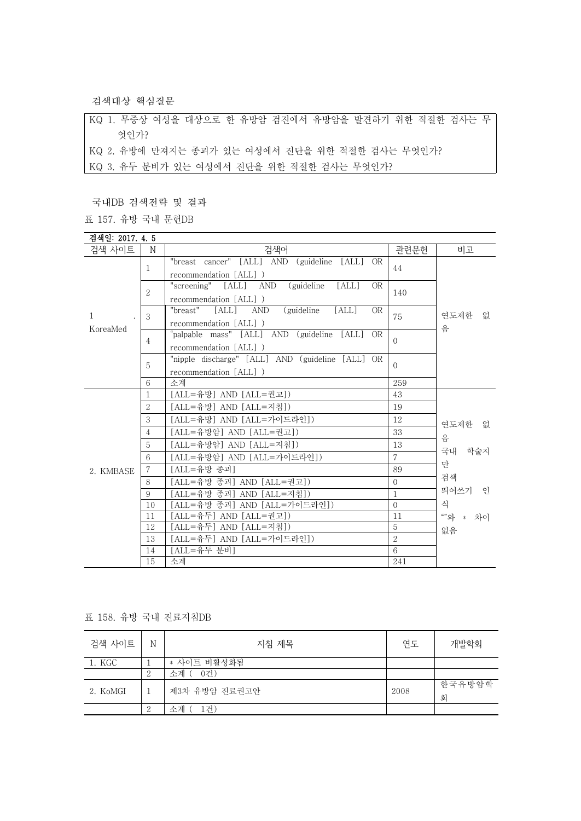검색대상 핵심질문

KQ 1. 무증상 여성을 대상으로 한 유방암 검진에서 유방암을 발견하기 위한 적절한 검사는 무 엇인가? KQ 2. 유방에 만져지는 종괴가 있는 여성에서 진단을 위한 적절한 검사는 무엇인가? KQ 3. 유두 분비가 있는 여성에서 진단을 위한 적절한 검사는 무엇인가?

국내DB 검색전략 및 결과

표 157. 유방 국내 문헌DB

| 검색일: 2017. 4. 5 |                |                                                            |                |                                                                   |
|-----------------|----------------|------------------------------------------------------------|----------------|-------------------------------------------------------------------|
| 검색 사이트          | $\mathbf N$    | 검색어                                                        | 관련문헌           | 비고                                                                |
|                 | 1              | "breast cancer" [ALL] AND (guideline [ALL] OR              | 44             | 연도제한<br>없<br>음                                                    |
|                 |                | recommendation [ALL])                                      |                |                                                                   |
|                 | 2              | "screening" [ALL] AND<br>(guideline<br>[ALL]<br>OR.        | 140            |                                                                   |
|                 |                | recommendation [ALL])                                      |                |                                                                   |
| 1               | 3              | [ALL]<br>AND<br>(guideline)<br><b>OR</b><br>"breast" [ALL] | 75             |                                                                   |
| KoreaMed        |                | recommendation [ALL])                                      |                |                                                                   |
|                 |                | "palpable mass" [ALL] AND (guideline [ALL]<br><b>OR</b>    | $\Omega$       |                                                                   |
|                 | 4              | recommendation [ALL])                                      |                |                                                                   |
|                 | 5              | "nipple discharge" [ALL] AND (guideline [ALL] OR           | $\Omega$       |                                                                   |
|                 |                | recommendation [ALL])                                      |                |                                                                   |
|                 | 6              | 소계                                                         | 259            |                                                                   |
|                 | 1              | [ALL=유방] AND [ALL=권고])                                     | 43             |                                                                   |
|                 | $\overline{2}$ | [ALL=유방] AND [ALL=지침])                                     | 19             | 연도제한 없<br>음<br>국내 학술지<br>만<br>검색<br>띄어쓰기 인<br>식<br>""와 * 차이<br>없음 |
|                 | 3              | [ALL=유방] AND [ALL=가이드라인])                                  | 12             |                                                                   |
|                 | $\overline{4}$ | [ALL=유방암] AND [ALL=권고])                                    | 33             |                                                                   |
|                 | 5              | [ALL=유방암] AND [ALL=지침])                                    | 13             |                                                                   |
|                 | 6              | [ALL=유방암] AND [ALL=가이드라인])                                 | $\overline{7}$ |                                                                   |
| 2. KMBASE       | $\overline{7}$ | [ALL=유방 종괴]                                                | 89             |                                                                   |
|                 | 8              | [ALL=유방 종괴] AND [ALL=권고])                                  | $\Omega$       |                                                                   |
|                 | 9              | [ALL=유방 종괴] AND [ALL=지침])                                  | 1              |                                                                   |
|                 | 10             | [ALL=유방 종괴] AND [ALL=가이드라인])                               | $\Omega$       |                                                                   |
|                 | 11             | [ALL=유두] AND [ALL=권고])                                     | 11             |                                                                   |
|                 | 12             | [ALL=유두] AND [ALL=지침])                                     | 5              |                                                                   |
|                 | 13             | [ALL=유두] AND [ALL=가이드라인])                                  | $\overline{2}$ |                                                                   |
|                 | 14             | [ALL=유두 분비]                                                | 6              |                                                                   |
|                 | 15             | 소계                                                         | 241            |                                                                   |

## 표 158. 유방 국내 진료지침DB

| 검색 사이트   | N  | 지침 제목           | 연도   | 개발학회        |
|----------|----|-----------------|------|-------------|
| 1. KGC   |    | * 사이트 비활성화됨     |      |             |
|          | 2  | ' 소계 (<br>[ 0건) |      |             |
| 2. KoMGI |    | 제3차 유방암 진료권고안   | 2008 | 한국유방암학<br>회 |
|          | -9 | 소계<br>l건)       |      |             |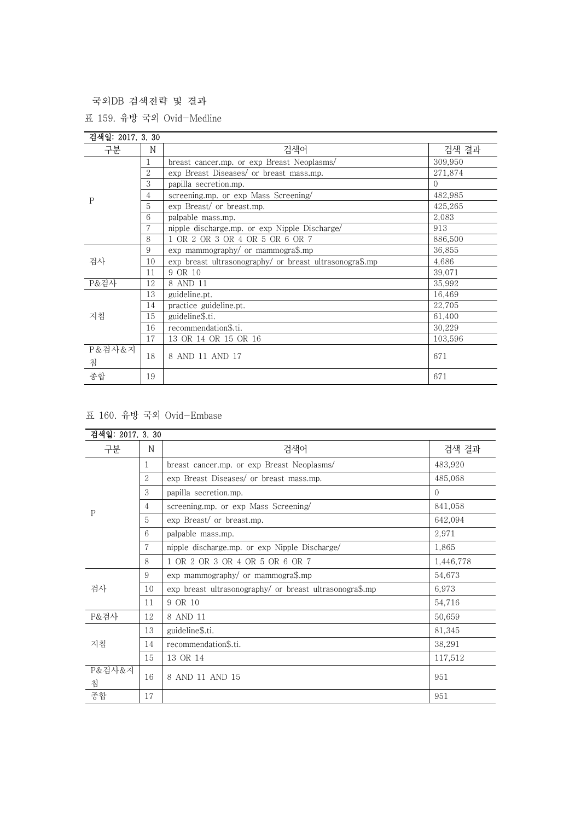국외DB 검색전략 및 결과

표 159. 유방 국외 Ovid-Medline

| 검색일: 2017. 3. 30 |                |                                                         |          |
|------------------|----------------|---------------------------------------------------------|----------|
| 구분               | N              | 검색어                                                     | 검색 결과    |
| P                | 1              | breast cancer.mp. or exp Breast Neoplasms/              | 309.950  |
|                  | $\overline{2}$ | exp Breast Diseases/ or breast mass.mp.                 | 271,874  |
|                  | 3              | papilla secretion.mp.                                   | $\Omega$ |
|                  | 4              | screening.mp. or exp Mass Screening/                    | 482,985  |
|                  | 5              | exp Breast/ or breast.mp.                               | 425,265  |
|                  | 6              | palpable mass.mp.                                       | 2,083    |
|                  |                | nipple discharge.mp. or exp Nipple Discharge/           | 913      |
|                  | 8              | 1 OR 2 OR 3 OR 4 OR 5 OR 6 OR 7                         | 886,500  |
|                  | 9              | exp mammography/ or mammogra\$.mp                       | 36,855   |
| 검사               | 10             | exp breast ultrasonography/ or breast ultrasonogra\$.mp | 4,686    |
|                  | 11             | 9 OR 10                                                 | 39,071   |
| P&검사             | 12             | 8 AND 11                                                | 35,992   |
| 지침               | 13             | guideline.pt.                                           | 16,469   |
|                  | 14             | practice guideline.pt.                                  | 22,705   |
|                  | 15             | guideline\$.ti.                                         | 61,400   |
|                  | 16             | recommendation\$.ti.                                    | 30,229   |
|                  | 17             | 13 OR 14 OR 15 OR 16                                    | 103,596  |
| P&검사&지<br>침      | 18             | 8 AND 11 AND 17                                         | 671      |
| 종합               | 19             |                                                         | 671      |

## 표 160. 유방 국외 Ovid-Embase

| 검색일: 2017. 3. 30 |                |                                                         |           |
|------------------|----------------|---------------------------------------------------------|-----------|
| 구분               | N              | 검색어                                                     | 검색 결과     |
| $\mathsf{P}$     | 1              | breast cancer.mp. or exp Breast Neoplasms/              | 483,920   |
|                  | $\overline{2}$ | exp Breast Diseases/ or breast mass.mp.                 | 485,068   |
|                  | 3              | papilla secretion.mp.                                   | $\Omega$  |
|                  | $\overline{4}$ | screening.mp. or exp Mass Screening/                    | 841,058   |
|                  | 5              | exp Breast/ or breast.mp.                               | 642,094   |
|                  | 6              | palpable mass.mp.                                       | 2,971     |
|                  | 7              | nipple discharge.mp. or exp Nipple Discharge/           | 1,865     |
|                  | 8              | 1 OR 2 OR 3 OR 4 OR 5 OR 6 OR 7                         | 1,446,778 |
| 검사               | 9              | exp mammography/ or mammogra\$.mp                       | 54,673    |
|                  | 10             | exp breast ultrasonography/ or breast ultrasonogra\$.mp | 6,973     |
|                  | 11             | 9 OR 10                                                 | 54,716    |
| P&검사             | 12             | 8 AND 11                                                | 50,659    |
| 지침               | 13             | guideline\$.ti.                                         | 81,345    |
|                  | 14             | recommendation\$.ti.                                    | 38,291    |
|                  | 15             | 13 OR 14                                                | 117,512   |
| P&검사&지<br>침      | 16             | 8 AND 11 AND 15                                         | 951       |
| 종합               | 17             |                                                         | 951       |